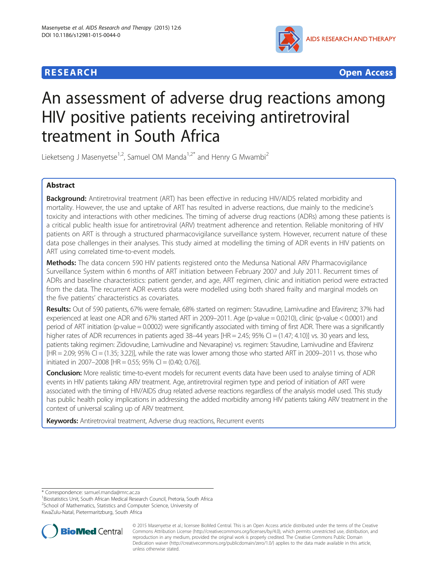# **RESEARCH CHEAR CHEAR CHEAR CHEAR CHEAR CHEAR CHEAR CHEAR CHEAR CHEAR CHEAR CHEAR CHEAR CHEAR CHEAR CHEAR CHEAR**



# An assessment of adverse drug reactions among HIV positive patients receiving antiretroviral treatment in South Africa

Lieketseng J Masenyetse<sup>1,2</sup>, Samuel OM Manda<sup>1,2\*</sup> and Henry G Mwambi<sup>2</sup>

# Abstract

Background: Antiretroviral treatment (ART) has been effective in reducing HIV/AIDS related morbidity and mortality. However, the use and uptake of ART has resulted in adverse reactions, due mainly to the medicine's toxicity and interactions with other medicines. The timing of adverse drug reactions (ADRs) among these patients is a critical public health issue for antiretroviral (ARV) treatment adherence and retention. Reliable monitoring of HIV patients on ART is through a structured pharmacovigilance surveillance system. However, recurrent nature of these data pose challenges in their analyses. This study aimed at modelling the timing of ADR events in HIV patients on ART using correlated time-to-event models.

Methods: The data concern 590 HIV patients registered onto the Medunsa National ARV Pharmacovigilance Surveillance System within 6 months of ART initiation between February 2007 and July 2011. Recurrent times of ADRs and baseline characteristics: patient gender, and age, ART regimen, clinic and initiation period were extracted from the data. The recurrent ADR events data were modelled using both shared frailty and marginal models on the five patients' characteristics as covariates.

Results: Out of 590 patients, 67% were female, 68% started on regimen: Stavudine, Lamivudine and Efavirenz; 37% had experienced at least one ADR and 67% started ART in 2009–2011. Age (p-value = 0.0210), clinic (p-value < 0.0001) and period of ART initiation (p-value = 0.0002) were significantly associated with timing of first ADR. There was a significantly higher rates of ADR recurrences in patients aged 38–44 years [HR = 2.45; 95% CI =  $(1.47; 4.10)$ ] vs. 30 years and less, patients taking regimen: Zidovudine, Lamivudine and Nevarapine) vs. regimen: Stavudine, Lamivudine and Efavirenz  $[HR = 2.09; 95\% CI = (1.35; 3.22)]$ , while the rate was lower among those who started ART in 2009–2011 vs. those who initiated in 2007–2008 [HR = 0.55; 95% CI =  $(0.40; 0.76)$ ].

Conclusion: More realistic time-to-event models for recurrent events data have been used to analyse timing of ADR events in HIV patients taking ARV treatment. Age, antiretroviral regimen type and period of initiation of ART were associated with the timing of HIV/AIDS drug related adverse reactions regardless of the analysis model used. This study has public health policy implications in addressing the added morbidity among HIV patients taking ARV treatment in the context of universal scaling up of ARV treatment.

Keywords: Antiretroviral treatment, Adverse drug reactions, Recurrent events

\* Correspondence: [samuel.manda@mrc.ac.za](mailto:samuel.manda@mrc.ac.za) <sup>1</sup>

<sup>&</sup>lt;sup>1</sup>Biostatistics Unit, South African Medical Research Council, Pretoria, South Africa <sup>2</sup>School of Mathematics, Statistics and Computer Science, University of KwaZulu-Natal, Pietermaritzburg, South Africa



<sup>© 2015</sup> Masenyetse et al.; licensee BioMed Central. This is an Open Access article distributed under the terms of the Creative Commons Attribution License [\(http://creativecommons.org/licenses/by/4.0\)](http://creativecommons.org/licenses/by/4.0), which permits unrestricted use, distribution, and reproduction in any medium, provided the original work is properly credited. The Creative Commons Public Domain Dedication waiver [\(http://creativecommons.org/publicdomain/zero/1.0/](http://creativecommons.org/publicdomain/zero/1.0/)) applies to the data made available in this article, unless otherwise stated.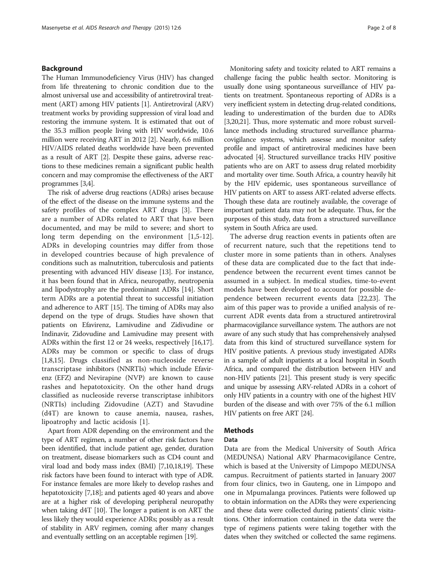## <span id="page-1-0"></span>Background

The Human Immunodeficiency Virus (HIV) has changed from life threatening to chronic condition due to the almost universal use and accessibility of antiretroviral treatment (ART) among HIV patients [\[1](#page-6-0)]. Antiretroviral (ARV) treatment works by providing suppression of viral load and restoring the immune system. It is estimated that out of the 35.3 million people living with HIV worldwide, 10.6 million were receiving ART in 2012 [[2](#page-6-0)]. Nearly, 6.6 million HIV/AIDS related deaths worldwide have been prevented as a result of ART [\[2\]](#page-6-0). Despite these gains, adverse reactions to these medicines remain a significant public health concern and may compromise the effectiveness of the ART programmes [\[3,4\]](#page-6-0).

The risk of adverse drug reactions (ADRs) arises because of the effect of the disease on the immune systems and the safety profiles of the complex ART drugs [\[3](#page-6-0)]. There are a number of ADRs related to ART that have been documented, and may be mild to severe; and short to long term depending on the environment [\[1,5-12](#page-6-0)]. ADRs in developing countries may differ from those in developed countries because of high prevalence of conditions such as malnutrition, tuberculosis and patients presenting with advanced HIV disease [[13](#page-6-0)]. For instance, it has been found that in Africa, neuropathy, neutropenia and lipodystrophy are the predominant ADRs [\[14\]](#page-6-0). Short term ADRs are a potential threat to successful initiation and adherence to ART [[15](#page-6-0)]. The timing of ADRs may also depend on the type of drugs. Studies have shown that patients on Efavirenz, Lamivudine and Zidivudine or Indinavir, Zidovudine and Lamivudine may present with ADRs within the first 12 or 24 weeks, respectively [\[16,](#page-6-0)[17](#page-7-0)]. ADRs may be common or specific to class of drugs [[1,8](#page-6-0),[15](#page-6-0)]. Drugs classified as non-nucleoside reverse transcriptase inhibitors (NNRTIs) which include Efavirenz (EFZ) and Nevirapine (NVP) are known to cause rashes and hepatotoxicity. On the other hand drugs classified as nucleoside reverse transcriptase inhibitors (NRTIs) including Zidovudine (AZT) and Stavudine (d4T) are known to cause anemia, nausea, rashes, lipoatrophy and lactic acidosis [\[1](#page-6-0)].

Apart from ADR depending on the environment and the type of ART regimen, a number of other risk factors have been identified, that include patient age, gender, duration on treatment, disease biomarkers such as CD4 count and viral load and body mass index (BMI) [[7,10](#page-6-0)[,18,19](#page-7-0)]. These risk factors have been found to interact with type of ADR. For instance females are more likely to develop rashes and hepatotoxicity [\[7](#page-6-0)[,18\]](#page-7-0); and patients aged 40 years and above are at a higher risk of developing peripheral neuropathy when taking d4T [\[10](#page-6-0)]. The longer a patient is on ART the less likely they would experience ADRs; possibly as a result of stability in ARV regimen, coming after many changes and eventually settling on an acceptable regimen [\[19\]](#page-7-0).

Monitoring safety and toxicity related to ART remains a challenge facing the public health sector. Monitoring is usually done using spontaneous surveillance of HIV patients on treatment. Spontaneous reporting of ADRs is a very inefficient system in detecting drug-related conditions, leading to underestimation of the burden due to ADRs [[3](#page-6-0)[,20,21\]](#page-7-0). Thus, more systematic and more robust surveillance methods including structured surveillance pharmacovigilance systems, which assesse and monitor safety profile and impact of antiretroviral medicines have been advocated [\[4\]](#page-6-0). Structured surveillance tracks HIV positive patients who are on ART to assess drug related morbidity and mortality over time. South Africa, a country heavily hit by the HIV epidemic, uses spontaneous surveillance of HIV patients on ART to assess ART-related adverse effects. Though these data are routinely available, the coverage of important patient data may not be adequate. Thus, for the purposes of this study, data from a structured surveillance system in South Africa are used.

The adverse drug reaction events in patients often are of recurrent nature, such that the repetitions tend to cluster more in some patients than in others. Analyses of these data are complicated due to the fact that independence between the recurrent event times cannot be assumed in a subject. In medical studies, time-to-event models have been developed to account for possible dependence between recurrent events data [[22,23\]](#page-7-0). The aim of this paper was to provide a unified analysis of recurrent ADR events data from a structured antiretroviral pharmacovigilance surveillance system. The authors are not aware of any such study that has comprehensively analysed data from this kind of structured surveillance system for HIV positive patients. A previous study investigated ADRs in a sample of adult inpatients at a local hospital in South Africa, and compared the distribution between HIV and non-HIV patients [\[21\]](#page-7-0). This present study is very specific and unique by assessing ARV-related ADRs in a cohort of only HIV patients in a country with one of the highest HIV burden of the disease and with over 75% of the 6.1 million HIV patients on free ART [\[24\]](#page-7-0).

# Methods

### Data

Data are from the Medical University of South Africa (MEDUNSA) National ARV Pharmacovigilance Centre, which is based at the University of Limpopo MEDUNSA campus. Recruitment of patients started in January 2007 from four clinics, two in Gauteng, one in Limpopo and one in Mpumalanga provinces. Patients were followed up to obtain information on the ADRs they were experiencing and these data were collected during patients' clinic visitations. Other information contained in the data were the type of regimens patients were taking together with the dates when they switched or collected the same regimens.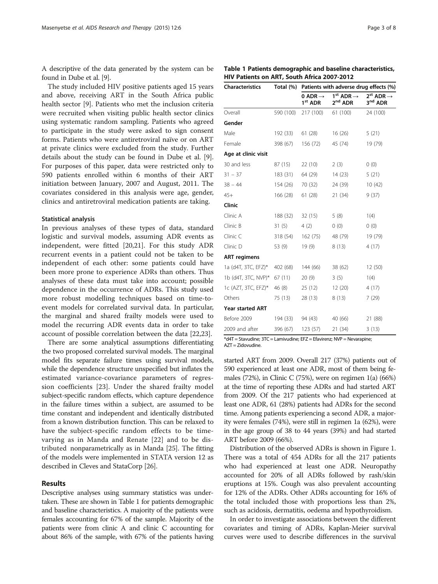A descriptive of the data generated by the system can be found in Dube et al. [\[9\]](#page-6-0).

The study included HIV positive patients aged 15 years and above, receiving ART in the South Africa public health sector [\[9](#page-6-0)]. Patients who met the inclusion criteria were recruited when visiting public health sector clinics using systematic random sampling. Patients who agreed to participate in the study were asked to sign consent forms. Patients who were antiretroviral naïve or on ART at private clinics were excluded from the study. Further details about the study can be found in Dube et al. [\[9](#page-6-0)]. For purposes of this paper, data were restricted only to 590 patients enrolled within 6 months of their ART initiation between January, 2007 and August, 2011. The covariates considered in this analysis were age, gender, clinics and antiretroviral medication patients are taking.

#### Statistical analysis

In previous analyses of these types of data, standard logistic and survival models, assuming ADR events as independent, were fitted [\[20,21](#page-7-0)]. For this study ADR recurrent events in a patient could not be taken to be independent of each other: some patients could have been more prone to experience ADRs than others. Thus analyses of these data must take into account; possible dependence in the occurrence of ADRs. This study used more robust modelling techniques based on time-toevent models for correlated survival data. In particular, the marginal and shared frailty models were used to model the recurring ADR events data in order to take account of possible correlation between the data [[22,23](#page-7-0)].

There are some analytical assumptions differentiating the two proposed correlated survival models. The marginal model fits separate failure times using survival models, while the dependence structure unspecified but inflates the estimated variance-covariance parameters of regression coefficients [[23\]](#page-7-0). Under the shared frailty model subject-specific random effects, which capture dependence in the failure times within a subject, are assumed to be time constant and independent and identically distributed from a known distribution function. This can be relaxed to have the subject-specific random effects to be timevarying as in Manda and Renate [[22](#page-7-0)] and to be distributed nonparametrically as in Manda [\[25\]](#page-7-0). The fitting of the models were implemented in STATA version 12 as described in Cleves and StataCorp [\[26\]](#page-7-0).

## Results

Descriptive analyses using summary statistics was undertaken. These are shown in Table 1 for patients demographic and baseline characteristics. A majority of the patients were females accounting for 67% of the sample. Majority of the patients were from clinic A and clinic C accounting for about 86% of the sample, with 67% of the patients having

Table 1 Patients demographic and baseline characteristics, HIV Patients on ART, South Africa 2007-2012

| <b>Characteristics</b>  |           | Total (%) Patients with adverse drug effects (%) |                                            |                                                   |  |
|-------------------------|-----------|--------------------------------------------------|--------------------------------------------|---------------------------------------------------|--|
|                         |           | 0 ADR $\rightarrow$<br>1 <sup>st</sup> ADR       | $1^{st}$ ADR $\rightarrow$<br>$2^{nd}$ ADR | $2^{st}$ ADR $\rightarrow$<br>3 <sup>nd</sup> ADR |  |
| Overall                 | 590 (100) | 217 (100)                                        | 61 (100)                                   | 24 (100)                                          |  |
| Gender                  |           |                                                  |                                            |                                                   |  |
| Male                    | 192 (33)  | 61(28)                                           | 16(26)                                     | 5(21)                                             |  |
| Female                  | 398 (67)  | 156 (72)                                         | 45 (74)                                    | 19 (79)                                           |  |
| Age at clinic visit     |           |                                                  |                                            |                                                   |  |
| 30 and less             | 87 (15)   | 22(10)                                           | 2(3)                                       | (0)                                               |  |
| $31 - 37$               | 183 (31)  | 64 (29)                                          | 14(23)                                     | 5(21)                                             |  |
| $38 - 44$               | 154 (26)  | 70 (32)                                          | 24 (39)                                    | 10(42)                                            |  |
| $45+$                   | 166 (28)  | 61(28)                                           | 21(34)                                     | 9(37)                                             |  |
| Clinic                  |           |                                                  |                                            |                                                   |  |
| Clinic A                | 188 (32)  | 32(15)                                           | 5(8)                                       | 1(4)                                              |  |
| Clinic B                | 31(5)     | 4(2)                                             | 0(0)                                       | 0(0)                                              |  |
| Clinic C                | 318 (54)  | 162(75)                                          | 48 (79)                                    | 19 (79)                                           |  |
| Clinic D                | 53 (9)    | 19(9)                                            | 8(13)                                      | 4(17)                                             |  |
| <b>ART</b> regimens     |           |                                                  |                                            |                                                   |  |
| 1a (d4T, 3TC, EFZ)*     | 402 (68)  | 144 (66)                                         | 38 (62)                                    | 12 (50)                                           |  |
| 1b (d4T, 3TC, NVP)*     | 67(11)    | 20(9)                                            | 3(5)                                       | 1(4)                                              |  |
| 1c (AZT, 3TC, EFZ)*     | 46(8)     | 25(12)                                           | 12(20)                                     | 4 (17)                                            |  |
| Others                  | 75 (13)   | 28 (13)                                          | 8(13)                                      | 7 (29)                                            |  |
| <b>Year started ART</b> |           |                                                  |                                            |                                                   |  |
| Before 2009             | 194 (33)  | 94 (43)                                          | 40 (66)                                    | 21 (88)                                           |  |
| 2009 and after          | 396 (67)  | 123(57)                                          | 21 (34)                                    | 3(13)                                             |  |

\*d4T = Stavudine; 3TC = Lamivudine; EFZ = Efavirenz; NVP = Nevarapine; AZT = Zidovudine.

started ART from 2009. Overall 217 (37%) patients out of 590 experienced at least one ADR, most of them being females (72%), in Clinic C (75%), were on regimen 1(a) (66%) at the time of reporting these ADRs and had started ART from 2009. Of the 217 patients who had experienced at least one ADR, 61 (28%) patients had ADRs for the second time. Among patients experiencing a second ADR, a majority were females (74%), were still in regimen 1a (62%), were in the age group of 38 to 44 years (39%) and had started ART before 2009 (66%).

Distribution of the observed ADRs is shown in Figure [1](#page-3-0). There was a total of 454 ADRs for all the 217 patients who had experienced at least one ADR. Neuropathy accounted for 20% of all ADRs followed by rash/skin eruptions at 15%. Cough was also prevalent accounting for 12% of the ADRs. Other ADRs accounting for 16% of the total included those with proportions less than 2%, such as acidosis, dermatitis, oedema and hypothyroidism.

In order to investigate associations between the different covariates and timing of ADRs, Kaplan-Meier survival curves were used to describe differences in the survival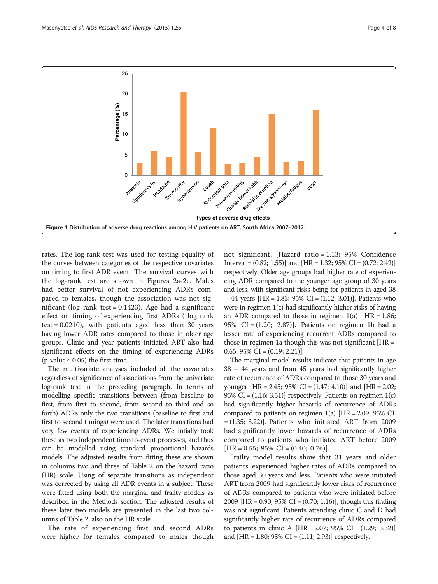<span id="page-3-0"></span>

rates. The log-rank test was used for testing equality of the curves between categories of the respective covariates on timing to first ADR event. The survival curves with the log-rank test are shown in Figures [2a](#page-4-0)-[2e](#page-4-0). Males had better survival of not experiencing ADRs compared to females, though the association was not significant (log rank test  $= 0.1423$ ). Age had a significant effect on timing of experiencing first ADRs ( log rank  $test = 0.0210$ , with patients aged less than 30 years having lower ADR rates compared to those in older age groups. Clinic and year patients initiated ART also had significant effects on the timing of experiencing ADRs (p-value  $\leq$  0.05) the first time.

The multivariate analyses included all the covariates regardless of significance of associations from the univariate log-rank test in the preceding paragraph. In terms of modelling specific transitions between (from baseline to first, from first to second, from second to third and so forth) ADRs only the two transitions (baseline to first and first to second timings) were used. The later transitions had very few events of experiencing ADRs. We intially took these as two independent time-to-event processes, and thus can be modelled using standard proportional hazards models. The adjusted results from fitting these are shown in columns two and three of Table [2](#page-5-0) on the hazard ratio (HR) scale. Using of separate transitions as independent was corrected by using all ADR events in a subject. These were fitted using both the marginal and frailty models as described in the [Methods](#page-1-0) section. The adjusted results of these later two models are presented in the last two columns of Table [2,](#page-5-0) also on the HR scale.

The rate of experiencing first and second ADRs were higher for females compared to males though

not significant, [Hazard ratio = 1.13; 95% Confidence Interval =  $(0.82; 1.55)$ ] and [HR = 1.32; 95% CI =  $(0.72; 2.42)$ ] respectively. Older age groups had higher rate of experiencing ADR compared to the younger age group of 30 years and less, with significant risks being for patients in aged 38 – 44 years [HR = 1.83; 95% CI = (1.12; 3.01)]. Patients who were in regimen 1(c) had significantly higher risks of having an ADR compared to those in regimen  $1(a)$  [HR = 1.86; 95% CI =  $(1.20; 2.87)$ ]. Patients on regimen 1b had a lesser rate of experiencing recurrent ADRs compared to those in regimen 1a though this was not significant  $[HR =$ 0.65;  $95\%$  CI = (0.19; 2.21)].

The marginal model results indicate that patients in age 38 – 44 years and from 45 years had significantly higher rate of recurrence of ADRs compared to those 30 years and younger [HR = 2.45;  $95\%$  CI =  $(1.47; 4.10)$ ] and [HR = 2.02; 95% CI =  $(1.16; 3.51)$ ] respectively. Patients on regimen 1(c) had significantly higher hazards of recurrence of ADRs compared to patients on regimen  $1(a)$  [HR = 2.09; 95% CI  $= (1.35; 3.22)$ ]. Patients who initiated ART from 2009 had significantly lower hazards of recurrence of ADRs compared to patients who initiated ART before 2009  $[HR = 0.55; 95\% \text{ CI} = (0.40; 0.76)].$ 

Frailty model results show that 31 years and older patients experienced higher rates of ADRs compared to those aged 30 years and less. Patients who were initiated ART from 2009 had significantly lower risks of recurrence of ADRs compared to patients who were initiated before 2009 [HR = 0.90; 95% CI = (0.70; 1.16)], though this finding was not significant. Patients attending clinic C and D had significantly higher rate of recurrence of ADRs compared to patients in clinic A  $[HR = 2.07; 95\% \text{ CI} = (1.29; 3.32)]$ and  $[HR = 1.80; 95% CI = (1.11; 2.93)]$  respectively.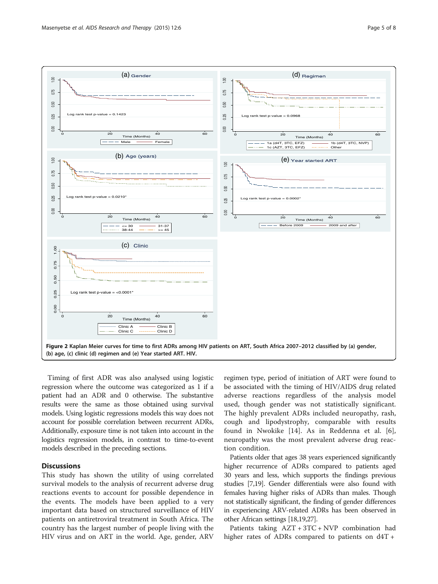<span id="page-4-0"></span>

Timing of first ADR was also analysed using logistic regression where the outcome was categorized as 1 if a patient had an ADR and 0 otherwise. The substantive results were the same as those obtained using survival models. Using logistic regressions models this way does not account for possible correlation between recurrent ADRs, Additionally, exposure time is not taken into account in the logistics regression models, in contrast to time-to-event models described in the preceding sections.

# **Discussions**

This study has shown the utility of using correlated survival models to the analysis of recurrent adverse drug reactions events to account for possible dependence in the events. The models have been applied to a very important data based on structured surveillance of HIV patients on antiretroviral treatment in South Africa. The country has the largest number of people living with the HIV virus and on ART in the world. Age, gender, ARV

regimen type, period of initiation of ART were found to be associated with the timing of HIV/AIDS drug related adverse reactions regardless of the analysis model used, though gender was not statistically significant. The highly prevalent ADRs included neuropathy, rash, cough and lipodystrophy, comparable with results found in Nwokike [[14\]](#page-6-0). As in Reddenna et al. [[6](#page-6-0)], neuropathy was the most prevalent adverse drug reaction condition.

Patients older that ages 38 years experienced significantly higher recurrence of ADRs compared to patients aged 30 years and less, which supports the findings previous studies [[7](#page-6-0)[,19\]](#page-7-0). Gender differentials were also found with females having higher risks of ADRs than males. Though not statistically significant, the finding of gender differences in experiencing ARV-related ADRs has been observed in other African settings [[18,19,27\]](#page-7-0).

Patients taking AZT + 3TC + NVP combination had higher rates of ADRs compared to patients on d4T +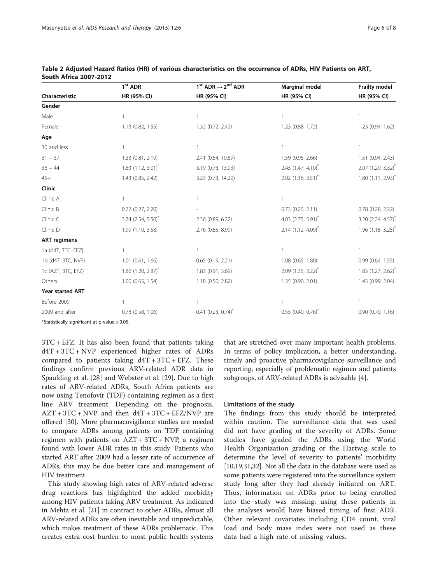|                     | $1st$ ADR                        | $1^{st}$ ADR $\rightarrow$ $2^{nd}$ ADR | Marginal model                   | <b>Frailty model</b>             |
|---------------------|----------------------------------|-----------------------------------------|----------------------------------|----------------------------------|
| Characteristic      | HR (95% CI)                      | HR (95% CI)                             | HR (95% CI)                      | HR (95% CI)                      |
| Gender              |                                  |                                         |                                  |                                  |
| Male                |                                  |                                         |                                  |                                  |
| Female              | 1.13 (0.82, 1.55)                | 1.32 (0.72, 2.42)                       | 1.23 (0.88, 1.72)                | 1.23 (0.94, 1.62)                |
| Age                 |                                  |                                         |                                  |                                  |
| 30 and less         |                                  |                                         |                                  |                                  |
| $31 - 37$           | 1.33 (0.81, 2.19)                | 2.41 (0.54, 10.69)                      | 1.59 (0.95, 2.66)                | 1.51 (0.94, 2.43)                |
| $38 - 44$           | $1.83(1.12, 3.01)^{*}$           | 3.19 (0.73, 13.93)                      | 2.45 (1.47, 4.10)*               | $2.07$ (1.29, 3.32) <sup>*</sup> |
| $45+$               | 1.43 (0.85, 2.42)                | 3.23 (0.73, 14.29)                      | $2.02$ (1.16, 3.51) <sup>*</sup> | $1.80(1.11, 2.93)^{*}$           |
| Clinic              |                                  |                                         |                                  |                                  |
| Clinic A            |                                  |                                         |                                  |                                  |
| Clinic B            | 0.77(0.27, 2.20)                 |                                         | $0.73$ $(0.25, 2.11)$            | $0.78$ $(0.28, 2.22)$            |
| Clinic C            | $3.74$ (2.54, 5.50) <sup>*</sup> | 2.36 (0.89, 6.22)                       | 4.03 (2.75, 5.91) <sup>*</sup>   | $3.20$ (2.24, 4.57) <sup>*</sup> |
| Clinic D            | $1.99(1.10, 3.58)^{*}$           | 2.76 (0.85, 8.99)                       | $2.14$ (1.12, 4.09) <sup>*</sup> | $1.96$ (1.18, 3.25) <sup>*</sup> |
| <b>ART</b> regimens |                                  |                                         |                                  |                                  |
| 1a (d4T, 3TC, EFZ)  |                                  |                                         |                                  |                                  |
| 1b (d4T, 3TC, NVP)  | $1.01$ (0.61, 1.66)              | $0.65$ $(0.19, 2.21)$                   | 1.08 (0.65, 1.80)                | 0.99(0.64, 1.55)                 |
| 1c (AZT, 3TC, EFZ)  | 1.86 (1.20, 2.87)*               | 1.83 (0.91, 3.69)                       | 2.09 (1.35, 3.22)*               | $1.83(1.27, 2.62)^{*}$           |
| Others              | $1.00$ (0.65, 1.54)              | 1.18 (0.50; 2.82)                       | 1.35 (0.90, 2.01)                | 1.43 (0.99, 2.04)                |
| Year started ART    |                                  |                                         |                                  |                                  |
| Before 2009         |                                  |                                         |                                  |                                  |
| 2009 and after      | 0.78 (0.58, 1.06)                | $0.41$ (0.23, 0.74) <sup>*</sup>        | $0.55$ (0.40, 0.76) <sup>*</sup> | 0.90(0.70, 1.16)                 |

<span id="page-5-0"></span>

| Table 2 Adiusted Hazard Ratios (HR) of various characteristics on the occurrence of ADRs. HIV Patients on ART. |  |  |  |
|----------------------------------------------------------------------------------------------------------------|--|--|--|
| <b>South Africa 2007-2012</b>                                                                                  |  |  |  |

\*Statistically significant at p-value ≤ 0.05.

3TC + EFZ. It has also been found that patients taking d4T + 3TC + NVP experienced higher rates of ADRs compared to patients taking  $d4T + 3TC + EFZ$ . These findings confirm previous ARV-related ADR data in Spaulding et al. [[28\]](#page-7-0) and Webster et al. [\[29](#page-7-0)]. Due to high rates of ARV-related ADRs, South Africa patients are now using Tenofovir (TDF) containing regimen as a first line ARV treatment. Depending on the prognosis, AZT + 3TC + NVP and then d4T + 3TC + EFZ/NVP are offered [[30](#page-7-0)]. More pharmacovigilance studies are needed to compare ADRs among patients on TDF containing regimen with patients on  $AZT + 3TC + NVP$ , a regimen found with lower ADR rates in this study. Patients who started ART after 2009 had a lesser rate of occurrence of ADRs; this may be due better care and management of HIV treatment.

This study showing high rates of ARV-related adverse drug reactions has highlighted the added morbidity among HIV patients taking ARV treatment. As indicated in Mehta et al. [[21](#page-7-0)] in contract to other ADRs, almost all ARV-related ADRs are often inevitable and unpredictable, which makes treatment of these ADRs problematic. This creates extra cost burden to most public health systems that are stretched over many important health problems. In terms of policy implication, a better understanding, timely and proactive pharmacovigilance surveillance and reporting, especially of problematic regimen and patients subgroups, of ARV-related ADRs is advisable [[4](#page-6-0)].

# Limitations of the study

The findings from this study should be interpreted within caution. The surveillance data that was used did not have grading of the severity of ADRs. Some studies have graded the ADRs using the World Health Organization grading or the Hartwig scale to determine the level of severity to patients' morbidity [[10](#page-6-0),[19,31,32\]](#page-7-0). Not all the data in the database were used as some patients were registered into the surveillance system study long after they had already initiated on ART. Thus, information on ADRs prior to being enrolled into the study was missing; using these patients in the analyses would have biased timing of first ADR. Other relevant covariates including CD4 count, viral load and body mass index were not used as these data had a high rate of missing values.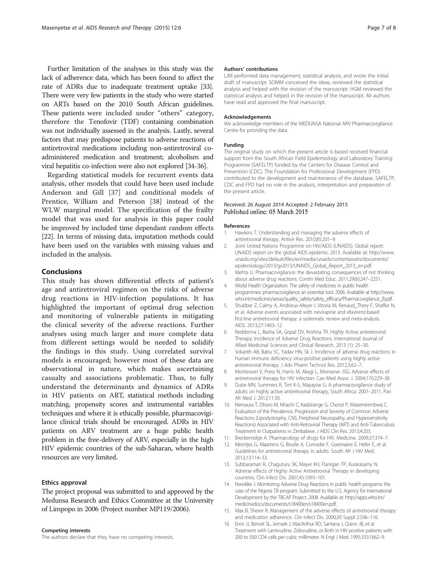<span id="page-6-0"></span>Further limitation of the analyses in this study was the lack of adherence data, which has been found to affect the rate of ADRs due to inadequate treatment uptake [\[33](#page-7-0)]. There were very few patients in the study who were started on ARTs based on the 2010 South African guidelines. These patients were included under "others" category, therefore the Tenofovir (TDF) containing combination was not individually assessed in the analysis. Lastly, several factors that may predispose patients to adverse reactions of antiretroviral medications including non-antiretroviral coadministered medication and treatment; alcoholism and viral hepatitis co-infection were also not explored [\[34-36\]](#page-7-0).

Regarding statistical models for recurrent events data analysis, other models that could have been used include Anderson and Gill [[37](#page-7-0)] and conditional models of Prentice, William and Peterson [\[38](#page-7-0)] instead of the WLW marginal model. The specification of the frailty model that was used for analysis in this paper could be improved by included time dependant random effects [[22](#page-7-0)]. In terms of missing data, imputation methods could have been used on the variables with missing values and included in the analysis.

# Conclusions

This study has shown differential effects of patient's age and antiretroviral regimen on the risks of adverse drug reactions in HIV-infection populations. It has highlighted the important of optimal drug selection and monitoring of vulnerable patients in mitigating the clinical severity of the adverse reactions. Further analyses using much larger and more complete data from different settings would be needed to solidify the findings in this study. Using correlated survival models is encouraged; however most of these data are observational in nature, which makes ascertaining casualty and associations problematic. Thus, to fully understand the determinants and dynamics of ADRs in HIV patients on ART, statistical methods including matching, propensity scores and instrumental variables techniques and where it is ethically possible, pharmacovigilance clinical trials should be encouraged. ADRs in HIV patients on ARV treatment are a huge public health problem in the free-delivery of ARV, especially in the high HIV epidemic countries of the sub-Saharan, where health resources are very limited.

#### Ethics approval

The project proposal was submitted to and approved by the Medunsa Research and Ethics Committee at the University of Limpopo in 2006 (Project number MP119/2006).

#### Competing interests

The authors declare that they have no competing interests.

#### Authors' contributions

LJM performed data management, statistical analysis, and wrote the initial draft of manuscript. SOMM conceived the ideas, reviewed the statistical analysis and helped with the revision of the manuscript. HGM reviewed the statistical analysis and helped in the revision of the manuscript. All authors have read and approved the final manuscript.

#### Acknowledgements

We acknowledge members of the MEDUNSA National ARV Pharmacovigilance Centre for providing the data.

#### Funding

The original study on which the present article is based received financial support from the South African Field Epidemiology and Laboratory Training Programme (SAFELTP) funded by the Centers for Disease Control and Prevention (CDC). The Foundation for Professional Development (FPD) contributed to the development and maintenance of the database. SAFELTP, CDC and FPD had no role in the analysis, interpretation and preparation of the present article.

#### Received: 26 August 2014 Accepted: 2 February 2015 Published online: 05 March 2015

#### References

- Hawkins T. Understanding and managing the adverse effects of antiretroviral therapy. Antivir Res. 2010;85:201–9.
- 2. Joint United Nations Programme on HIV/AIDS (UNAIDS). Global report: UNAIDS report on the global AIDS epidemic 2013. Available at: [http://www.](http://www.unaids.org/sites/default/files/en/media/unaids/contentassets/documents/epidemiology/2013/gr2013/UNAIDS_Global_Report_2013_en.pdf) [unaids.org/sites/default/files/en/media/unaids/contentassets/documents/](http://www.unaids.org/sites/default/files/en/media/unaids/contentassets/documents/epidemiology/2013/gr2013/UNAIDS_Global_Report_2013_en.pdf) [epidemiology/2013/gr2013/UNAIDS\\_Global\\_Report\\_2013\\_en.pdf.](http://www.unaids.org/sites/default/files/en/media/unaids/contentassets/documents/epidemiology/2013/gr2013/UNAIDS_Global_Report_2013_en.pdf)
- 3. Mehta U. Pharmacovigilance: the devastating consequences of not thinking about adverse drug reactions. Contin Med Educ. 2011;29(6):247–2251.
- 4. World Health Organization. The safety of medicines in public health programmes: pharmacovigilance an essential tool. 2006. Available at [http://www.](http://www.who.int/medicines/areas/quality_safety/safety_efficacy/Pharmacovigilance_B.pdf) [who.int/medicines/areas/quality\\_safety/safety\\_efficacy/Pharmacovigilance\\_B.pdf](http://www.who.int/medicines/areas/quality_safety/safety_efficacy/Pharmacovigilance_B.pdf).
- 5. Shubber Z, Calmy A, Andrieux-Meyer I, Vitoria M, Renaud\_Thery F, Shaffer N, et al. Adverse events associated with nevirapine and efavirenz-based first-line antiretroviral therapy: a systematic review and meta-analysis. AIDS. 2013;27:1403–12.
- 6. Reddenna L, Basha SA, Gopal DV, Krishna TR. Highly Active antiretroviral Therapy: Incidence of Adverse Drug Reactions. International Journal of Allied Medicinal Sciences and Clinical Research. 2013 (1): 25–30.
- 7. Srikanth AB, Babu SC, Yadav HN, Sk J. Incidence of adverse drug reactions in human immune deficiency virus-positive patients using highly active antiretroviral therapy. J Adv Pharm Technol Res. 2012;3:62–7.
- 8. Montessori V, Press N, Harris M, Akagi L, Montaner JSG. Adverse effects of antiretroviral therapy for HIV infection. Can Med Assoc J. 2004;170:229–38.
- 9. Dube MN, Summers R, Tint K-S, Mayayise G. A pharmacovigilance study of adults on highly active antiretroviral therapy, South Africa: 2007–2011. Pan Afr Med J. 2012;11:39.
- 10. Nemaura T, Dhoro M, Nhachi C, Kadzirange G, Chonzi P, Masemirembwa C. Evaluation of the Prevalence, Progression and Severity of Common Adverse Reactions (Lipodystrophy, CNS, Peripheral Neuropathy, and Hypersensitivity Reactions) Associated with Anti-Retrovirial Therapy (ART) and Anti-Tuberculosis Treatment in Outpatients in Zimbabwe. J AIDS Clin Res. 2013;4:203.
- 11. Breckenridge A. Pharmacology of drugs for HIV. Medicine. 2009;37:374–7.
- 12. Meintjes G, Maartens G, Boulle A, Conradie F, Goemaere E, Hefer E, et al. Guidelines for antiretroviral therapy in adults. South Afr J HIV Med. 2012;13:114–33.
- 13. Subbaraman R, Chaguturu SK, Mayer KH, Flanigan TP, Kurarasamy N. Adverse effects of Highly Active Antiretroviral Therapy in developing countries. Clin Infect Dis. 2007;45:1093–101.
- 14. Nwokike J. Monitoring Adverse Drug Reactions in public health programs: the case of the Nigeria TB program. Submitted to the U.S. Agency for International Development by the TBCAP Project. 2008. Available at: [http://apps.who.int/](http://apps.who.int/medicinedocs/documents/s18400en/s18400en.pdf) [medicinedocs/documents/s18400en/s18400en.pdf.](http://apps.who.int/medicinedocs/documents/s18400en/s18400en.pdf)
- 15. Max B, Sherer R. Management of the adverse effects of antiretroviral therapy and medication adherence. Clin Infect Dis. 2000;30 Suppl 2:S96–116.
- 16. Eron JJ, Benoit SL, Jemsek J, MacArthur RD, Santana J, Quinn JB, et al. Treatment with Lamivudine, Zidovudine, or Both in HIV positive patients with 200 to 500 CD4 cells per cubic millimeter. N Engl J Med. 1995;333:1662–9.